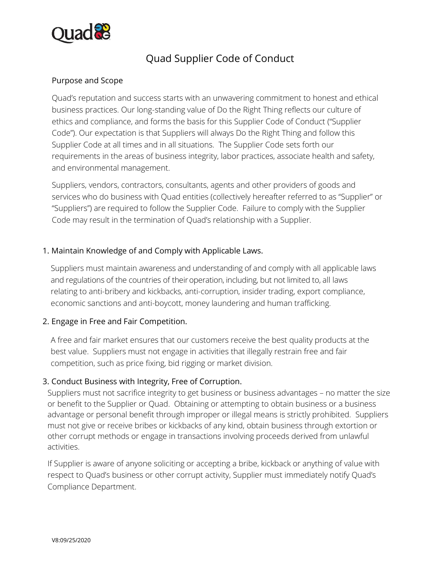

# Quad Supplier Code of Conduct

### Purpose and Scope

Quad's reputation and success starts with an unwavering commitment to honest and ethical business practices. Our long-standing value of Do the Right Thing reflects our culture of ethics and compliance, and forms the basis for this Supplier Code of Conduct ("Supplier Code"). Our expectation is that Suppliers will always Do the Right Thing and follow this Supplier Code at all times and in all situations. The Supplier Code sets forth our requirements in the areas of business integrity, labor practices, associate health and safety, and environmental management.

Suppliers, vendors, contractors, consultants, agents and other providers of goods and services who do business with Quad entities (collectively hereafter referred to as "Supplier" or "Suppliers") are required to follow the Supplier Code. Failure to comply with the Supplier Code may result in the termination of Quad's relationship with a Supplier.

### 1. Maintain Knowledge of and Comply with Applicable Laws.

Suppliers must maintain awareness and understanding of and comply with all applicable laws and regulations of the countries of their operation, including, but not limited to, all laws relating to anti-bribery and kickbacks, anti-corruption, insider trading, export compliance, economic sanctions and anti-boycott, money laundering and human trafficking.

### 2. Engage in Free and Fair Competition.

A free and fair market ensures that our customers receive the best quality products at the best value. Suppliers must not engage in activities that illegally restrain free and fair competition, such as price fixing, bid rigging or market division.

### 3. Conduct Business with Integrity, Free of Corruption.

Suppliers must not sacrifice integrity to get business or business advantages – no matter the size or benefit to the Supplier or Quad. Obtaining or attempting to obtain business or a business advantage or personal benefit through improper or illegal means is strictly prohibited. Suppliers must not give or receive bribes or kickbacks of any kind, obtain business through extortion or other corrupt methods or engage in transactions involving proceeds derived from unlawful activities.

If Supplier is aware of anyone soliciting or accepting a bribe, kickback or anything of value with respect to Quad's business or other corrupt activity, Supplier must immediately notify Quad's Compliance Department.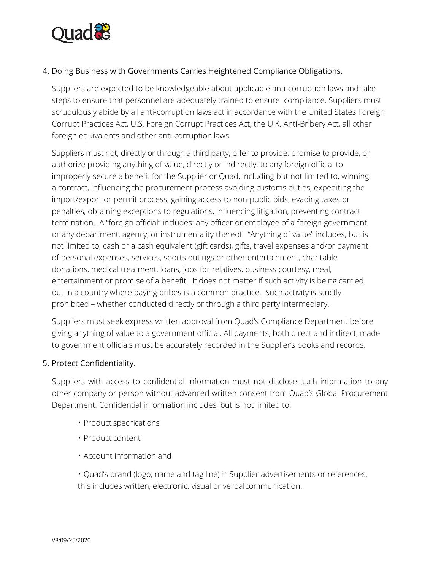

### 4. Doing Business with Governments Carries Heightened Compliance Obligations.

Suppliers are expected to be knowledgeable about applicable anti-corruption laws and take steps to ensure that personnel are adequately trained to ensure compliance. Suppliers must scrupulously abide by all anti-corruption laws act in accordance with the United States Foreign Corrupt Practices Act, U.S. Foreign Corrupt Practices Act, the U.K. Anti-Bribery Act, all other foreign equivalents and other anti-corruption laws.

Suppliers must not, directly or through a third party, offer to provide, promise to provide, or authorize providing anything of value, directly or indirectly, to any foreign official to improperly secure a benefit for the Supplier or Quad, including but not limited to, winning a contract, influencing the procurement process avoiding customs duties, expediting the import/export or permit process, gaining access to non-public bids, evading taxes or penalties, obtaining exceptions to regulations, influencing litigation, preventing contract termination. A "foreign official" includes: any officer or employee of a foreign government or any department, agency, or instrumentality thereof. "Anything of value" includes, but is not limited to, cash or a cash equivalent (gift cards), gifts, travel expenses and/or payment of personal expenses, services, sports outings or other entertainment, charitable donations, medical treatment, loans, jobs for relatives, business courtesy, meal, entertainment or promise of a benefit. It does not matter if such activity is being carried out in a country where paying bribes is a common practice. Such activity is strictly prohibited – whether conducted directly or through a third party intermediary.

Suppliers must seek express written approval from Quad's Compliance Department before giving anything of value to a government official. All payments, both direct and indirect, made to government officials must be accurately recorded in the Supplier's books and records.

#### 5. Protect Confidentiality.

Suppliers with access to confidential information must not disclose such information to any other company or person without advanced written consent from Quad's Global Procurement Department. Confidential information includes, but is not limited to:

- Product specifications
- Product content
- Account information and

• Quad's brand (logo, name and tag line) in Supplier advertisements or references, this includes written, electronic, visual or verbal communication.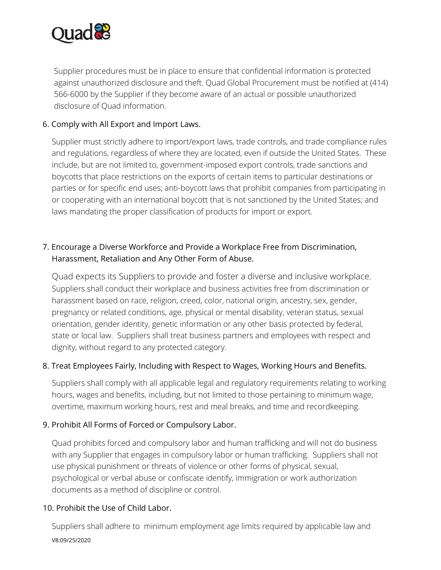

Supplier procedures must be in place to ensure that confidential information is protected against unauthorized disclosure and theft. Quad Global Procurement must be notified at (414) 566-6000 by the Supplier if they become aware of an actual or possible unauthorized disclosure of Quad information.

### 6. Comply with All Export and Import Laws.

Supplier must strictly adhere to import/export laws, trade controls, and trade compliance rules and regulations, regardless of where they are located, even if outside the United States. These include, but are not limited to, government-imposed export controls, trade sanctions and boycotts that place restrictions on the exports of certain items to particular destinations or parties or for specific end uses; anti-boycott laws that prohibit companies from participating in or cooperating with an international boycott that is not sanctioned by the United States; and laws mandating the proper classification of products for import or export.

# 7. Encourage a Diverse Workforce and Provide a Workplace Free from Discrimination, Harassment, Retaliation and Any Other Form of Abuse.

Quad expects its Suppliers to provide and foster a diverse and inclusive workplace. Suppliers shall conduct their workplace and business activities free from discrimination or harassment based on race, religion, creed, color, national origin, ancestry, sex, gender, pregnancy or related conditions, age, physical or mental disability, veteran status, sexual orientation, gender identity, genetic information or any other basis protected by federal, state or local law. Suppliers shall treat business partners and employees with respect and dignity, without regard to any protected category.

### 8. Treat Employees Fairly, Including with Respect to Wages, Working Hours and Benefits.

Suppliers shall comply with all applicable legal and regulatory requirements relating to working hours, wages and benefits, including, but not limited to those pertaining to minimum wage, overtime, maximum working hours, rest and meal breaks, and time and recordkeeping.

### 9. Prohibit All Forms of Forced or Compulsory Labor.

Quad prohibits forced and compulsory labor and human trafficking and will not do business with any Supplier that engages in compulsory labor or human trafficking. Suppliers shall not use physical punishment or threats of violence or other forms of physical, sexual, psychological or verbal abuse or confiscate identify, immigration or work authorization documents as a method of discipline or control.

### 10. Prohibit the Use of Child Labor.

V8:09/25/2020 Suppliers shall adhere to minimum employment age limits required by applicable law and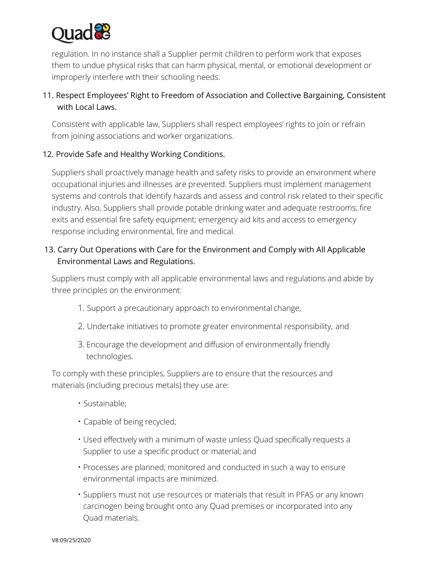

regulation. In no instance shall a Supplier permit children to perform work that exposes them to undue physical risks that can harm physical, mental, or emotional development or improperly interfere with their schooling needs.

# 11. Respect Employees' Right to Freedom of Association and Collective Bargaining, Consistent with Local Laws.

Consistent with applicable law, Suppliers shall respect employees' rights to join or refrain from joining associations and worker organizations.

### 12. Provide Safe and Healthy Working Conditions.

Suppliers shall proactively manage health and safety risks to provide an environment where occupational injuries and illnesses are prevented. Suppliers must implement management systems and controls that identify hazards and assess and control risk related to their specific industry. Also, Suppliers shall provide potable drinking water and adequate restrooms; fire exits and essential fire safety equipment; emergency aid kits and access to emergency response including environmental, fire and medical.

### 13. Carry Out Operations with Care for the Environment and Comply with All Applicable Environmental Laws and Regulations.

Suppliers must comply with all applicable environmental laws and regulations and abide by three principles on the environment:

- 1. Support a precautionary approach to environmental change,
- 2. Undertake initiatives to promote greater environmental responsibility, and
- 3. Encourage the development and diffusion of environmentally friendly technologies.

To comply with these principles, Suppliers are to ensure that the resources and materials (including precious metals) they use are:

- Sustainable;
- Capable of being recycled;
- Used effectively with a minimum of waste unless Quad specifically requests a Supplier to use a specific product or material; and
- Processes are planned, monitored and conducted in such a way to ensure environmental impacts are minimized.
- Suppliers must not use resources or materials that result in PFAS or any known carcinogen being brought onto any Quad premises or incorporated into any Quad materials.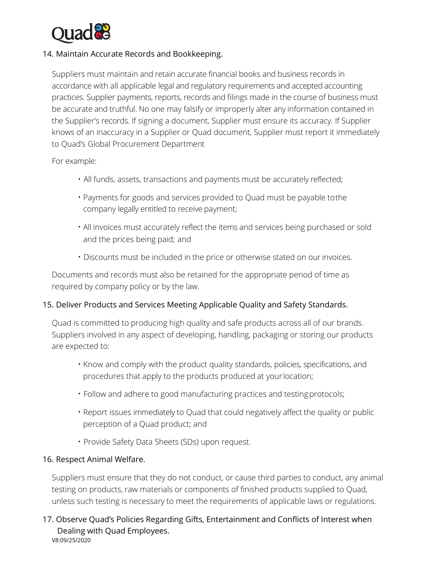

### 14. Maintain Accurate Records and Bookkeeping.

Suppliers must maintain and retain accurate financial books and business records in accordance with all applicable legal and regulatory requirements and accepted accounting practices. Supplier payments, reports, records and filings made in the course of business must be accurate and truthful. No one may falsify or improperly alter any information contained in the Supplier's records. If signing a document, Supplier must ensure its accuracy. If Supplier knows of an inaccuracy in a Supplier or Quad document, Supplier must report it immediately to Quad's Global Procurement Department

For example:

- All funds, assets, transactions and payments must be accurately reflected;
- Payments for goods and services provided to Quad must be payable to the company legally entitled to receive payment;
- All invoices must accurately reflect the items and services being purchased or sold and the prices being paid; and
- Discounts must be included in the price or otherwise stated on our invoices.

Documents and records must also be retained for the appropriate period of time as required by company policy or by the law.

### 15. Deliver Products and Services Meeting Applicable Quality and Safety Standards.

Quad is committed to producing high quality and safe products across all of our brands. Suppliers involved in any aspect of developing, handling, packaging or storing our products are expected to:

- Know and comply with the product quality standards, policies, specifications, and procedures that apply to the products produced at your location;
- Follow and adhere to good manufacturing practices and testing protocols;
- Report issues immediately to Quad that could negatively affect the quality or public perception of a Quad product; and
- Provide Safety Data Sheets (SDs) upon request.

### 16. Respect Animal Welfare.

Suppliers must ensure that they do not conduct, or cause third parties to conduct, any animal testing on products, raw materials or components of finished products supplied to Quad, unless such testing is necessary to meet the requirements of applicable laws or regulations.

#### V8:09/25/2020 17. Observe Quad's Policies Regarding Gifts, Entertainment and Conflicts of Interest when Dealing with Quad Employees.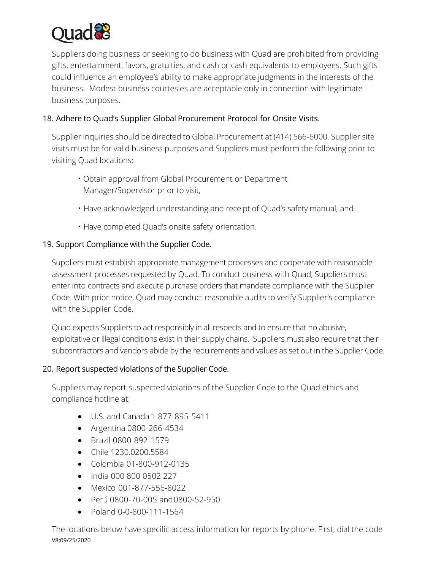

Suppliers doing business or seeking to do business with Quad are prohibited from providing gifts, entertainment, favors, gratuities, and cash or cash equivalents to employees. Such gifts could influence an employee's ability to make appropriate judgments in the interests of the business. Modest business courtesies are acceptable only in connection with legitimate business purposes.

### 18. Adhere to Quad's Supplier Global Procurement Protocol for Onsite Visits.

Supplier inquiries should be directed to Global Procurement at (414) 566-6000. Supplier site visits must be for valid business purposes and Suppliers must perform the following prior to visiting Quad locations:

- Obtain approval from Global Procurement or Department Manager/Supervisor prior to visit,
- Have acknowledged understanding and receipt of Quad's safety manual, and
- Have completed Quad's onsite safety orientation.

### 19. Support Compliance with the Supplier Code.

Suppliers must establish appropriate management processes and cooperate with reasonable assessment processes requested by Quad. To conduct business with Quad, Suppliers must enter into contracts and execute purchase orders that mandate compliance with the Supplier Code. With prior notice, Quad may conduct reasonable audits to verify Supplier's compliance with the Supplier Code.

Quad expects Suppliers to act responsibly in all respects and to ensure that no abusive, exploitative or illegal conditions exist in their supply chains. Suppliers must also require that their subcontractors and vendors abide by the requirements and values as set out in the Supplier Code.

### 20. Report suspected violations of the Supplier Code.

Suppliers may report suspected violations of the Supplier Code to the Quad ethics and compliance hotline at:

- U.S. and Canada 1-877-895-5411
- Argentina 0800-266-4534
- Brazil 0800-892-1579
- Chile 1230.0200.5584
- Colombia 01-800-912-0135
- India 000 800 0502 227
- Mexico 001-877-556-8022
- Perú 0800-70-005 and 0800-52-950
- Poland 0-0-800-111-1564

V8:09/25/2020 The locations below have specific access information for reports by phone. First, dial the code